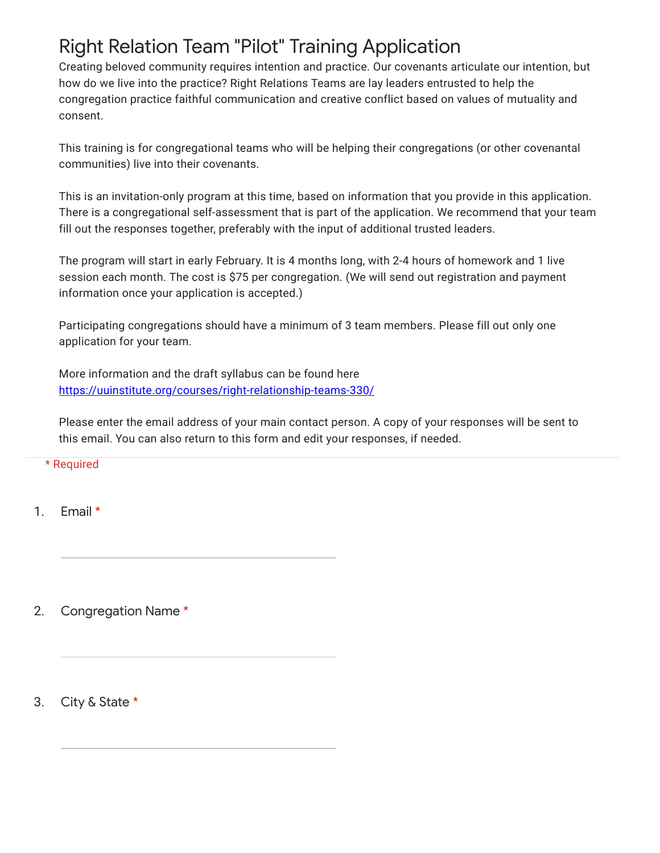## Right Relation Team "Pilot" Training Application

Creating beloved community requires intention and practice. Our covenants articulate our intention, but how do we live into the practice? Right Relations Teams are lay leaders entrusted to help the congregation practice faithful communication and creative conflict based on values of mutuality and consent.

This training is for congregational teams who will be helping their congregations (or other covenantal communities) live into their covenants.

This is an invitation-only program at this time, based on information that you provide in this application. There is a congregational self-assessment that is part of the application. We recommend that your team fill out the responses together, preferably with the input of additional trusted leaders.

The program will start in early February. It is 4 months long, with 2-4 hours of homework and 1 live session each month. The cost is \$75 per congregation. (We will send out registration and payment information once your application is accepted.)

Participating congregations should have a minimum of 3 team members. Please fill out only one application for your team.

More information and the draft syllabus can be found here [https://uuinstitute.org/courses/right-relationship-teams-330/](https://www.google.com/url?q=https://uuinstitute.org/courses/right-relationship-teams-330/&sa=D&source=editors&ust=1642454572801599&usg=AOvVaw0eZ2ga0vcBjv37dGHSymqt)

Please enter the email address of your main contact person. A copy of your responses will be sent to this email. You can also return to this form and edit your responses, if needed.

\* Required

1. Email \*

2. Congregation Name \*

3. City & State \*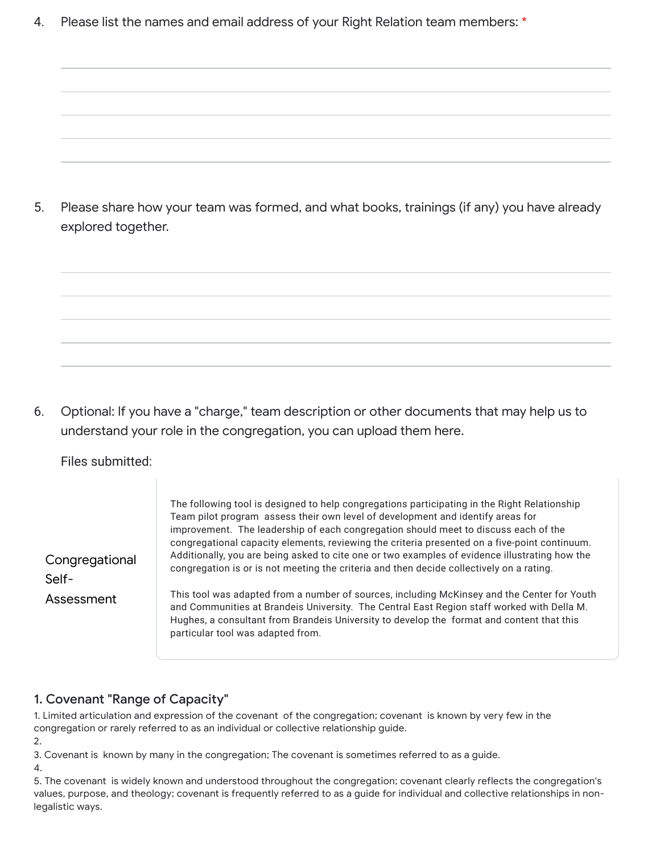4. Please list the names and email address of your Right Relation team members: \*

5. Please share how your team was formed, and what books, trainings (if any) you have already explored together.

6. Optional: If you have a "charge," team description or other documents that may help us to understand your role in the congregation, you can upload them here.

Files submitted:

**Congregational** Assessment The following tool is designed to help congregations participating in the Right Relationship Team pilot program assess their own level of development and identify areas for improvement. The leadership of each congregation should meet to discuss each of the congregational capacity elements, reviewing the criteria presented on a five-point continuum. Additionally, you are being asked to cite one or two examples of evidence illustrating how the congregation is or is not meeting the criteria and then decide collectively on a rating. This tool was adapted from a number of sources, including McKinsey and the Center for Youth and Communities at Brandeis University. The Central East Region staff worked with Della M. Hughes, a consultant from Brandeis University to develop the format and content that this

## 1. Covenant "Range of Capacity"

1. Limited articulation and expression of the covenant of the congregation; covenant is known by very few in the congregation or rarely referred to as an individual or collective relationship guide.

2.

Self-

3. Covenant is known by many in the congregation; The covenant is sometimes referred to as a guide.

particular tool was adapted from.

4.

<sup>5.</sup> The covenant is widely known and understood throughout the congregation; covenant clearly reflects the congregation's values, purpose, and theology; covenant is frequently referred to as a guide for individual and collective relationships in nonlegalistic ways.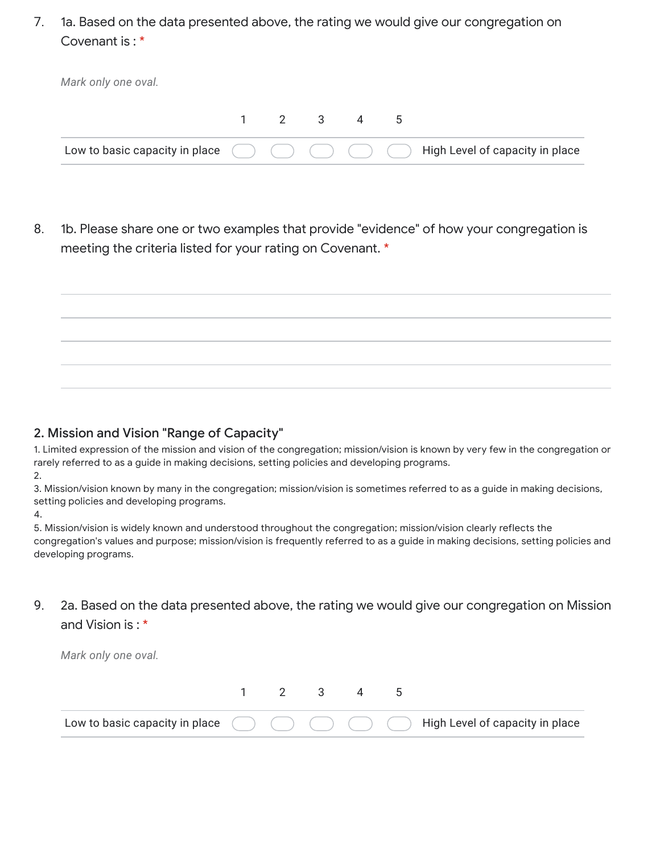7. 1a. Based on the data presented above, the rating we would give our congregation on Covenant is : \*

| Mark only one oval. |  |           |  |                                                                                              |
|---------------------|--|-----------|--|----------------------------------------------------------------------------------------------|
|                     |  | 1 2 3 4 5 |  |                                                                                              |
|                     |  |           |  | Low to basic capacity in place $( ) ( ) ( ) ( )$ ( ) ( ) ( ) High Level of capacity in place |

8. 1b. Please share one or two examples that provide "evidence" of how your congregation is meeting the criteria listed for your rating on Covenant. \*



### 2. Mission and Vision "Range of Capacity"

1. Limited expression of the mission and vision of the congregation; mission/vision is known by very few in the congregation or rarely referred to as a guide in making decisions, setting policies and developing programs. 2.

3. Mission/vision known by many in the congregation; mission/vision is sometimes referred to as a guide in making decisions, setting policies and developing programs.

4.

5. Mission/vision is widely known and understood throughout the congregation; mission/vision clearly reflects the congregation's values and purpose; mission/vision is frequently referred to as a guide in making decisions, setting policies and developing programs.

9. 2a. Based on the data presented above, the rating we would give our congregation on Mission and Vision is : \*

*Mark only one oval.*

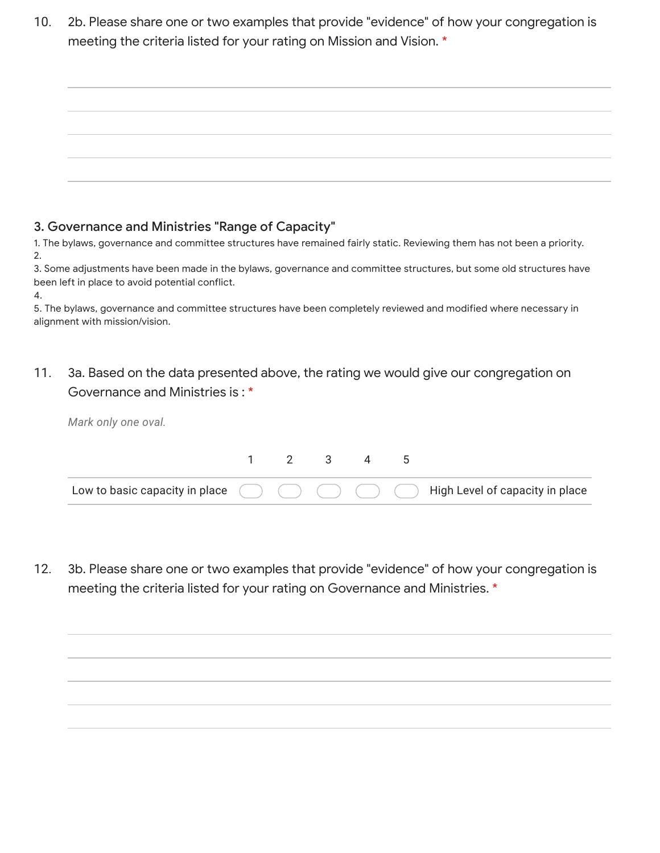10. 2b. Please share one or two examples that provide "evidence" of how your congregation is meeting the criteria listed for your rating on Mission and Vision. \*

### 3. Governance and Ministries "Range of Capacity"

1. The bylaws, governance and committee structures have remained fairly static. Reviewing them has not been a priority. 2.

3. Some adjustments have been made in the bylaws, governance and committee structures, but some old structures have been left in place to avoid potential conflict.

4.

5. The bylaws, governance and committee structures have been completely reviewed and modified where necessary in alignment with mission/vision.

#### 11. 3a. Based on the data presented above, the rating we would give our congregation on Governance and Ministries is : \*

*Mark only one oval.*

|  | 2 3 |  |                                                                                                                                                |
|--|-----|--|------------------------------------------------------------------------------------------------------------------------------------------------|
|  |     |  | Low to basic capacity in place $\qquad \qquad ) \quad \qquad \qquad \qquad \qquad \qquad \qquad \qquad \qquad$ High Level of capacity in place |

12. 3b. Please share one or two examples that provide "evidence" of how your congregation is meeting the criteria listed for your rating on Governance and Ministries. \*

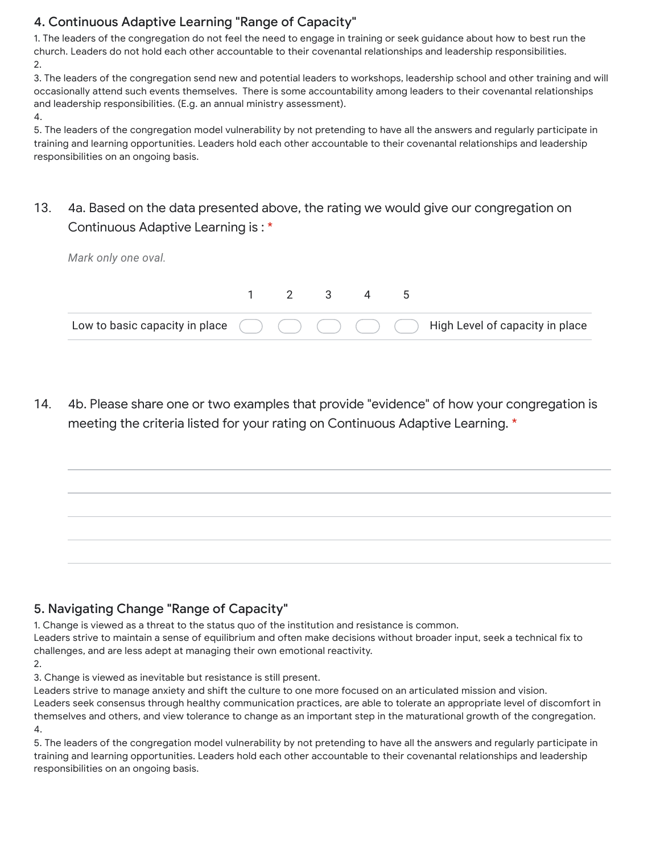## 4. Continuous Adaptive Learning "Range of Capacity"

1. The leaders of the congregation do not feel the need to engage in training or seek guidance about how to best run the church. Leaders do not hold each other accountable to their covenantal relationships and leadership responsibilities. 2.

3. The leaders of the congregation send new and potential leaders to workshops, leadership school and other training and will occasionally attend such events themselves. There is some accountability among leaders to their covenantal relationships and leadership responsibilities. (E.g. an annual ministry assessment).

4.

5. The leaders of the congregation model vulnerability by not pretending to have all the answers and regularly participate in training and learning opportunities. Leaders hold each other accountable to their covenantal relationships and leadership responsibilities on an ongoing basis.

### 13. 4a. Based on the data presented above, the rating we would give our congregation on Continuous Adaptive Learning is : \*

| Mark only one oval. |           |  |                                                                                                  |
|---------------------|-----------|--|--------------------------------------------------------------------------------------------------|
|                     | 1 2 3 4 5 |  |                                                                                                  |
|                     |           |  | Low to basic capacity in place $( ) ( ) ( ) ( ) ( )$ ( ) ( ) ( ) High Level of capacity in place |

14. 4b. Please share one or two examples that provide "evidence" of how your congregation is meeting the criteria listed for your rating on Continuous Adaptive Learning. \*

# 5. Navigating Change "Range of Capacity"

1. Change is viewed as a threat to the status quo of the institution and resistance is common.

Leaders strive to maintain a sense of equilibrium and often make decisions without broader input, seek a technical fix to challenges, and are less adept at managing their own emotional reactivity.

2.

3. Change is viewed as inevitable but resistance is still present.

Leaders strive to manage anxiety and shift the culture to one more focused on an articulated mission and vision. Leaders seek consensus through healthy communication practices, are able to tolerate an appropriate level of discomfort in themselves and others, and view tolerance to change as an important step in the maturational growth of the congregation. 4.

5. The leaders of the congregation model vulnerability by not pretending to have all the answers and regularly participate in training and learning opportunities. Leaders hold each other accountable to their covenantal relationships and leadership responsibilities on an ongoing basis.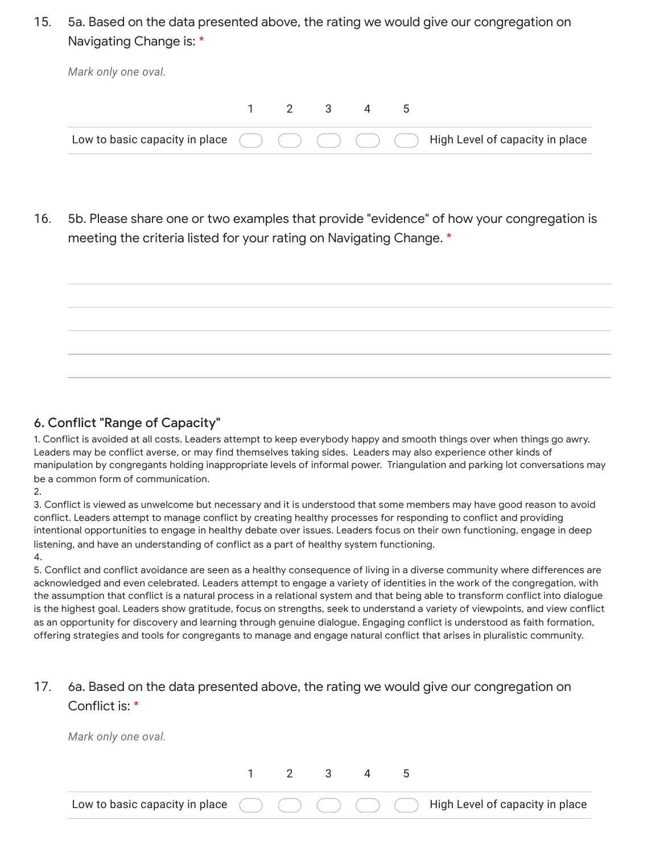15. 5a. Based on the data presented above, the rating we would give our congregation on Navigating Change is: \*

| $1 \t2 \t3 \t4 \t5$ |  |  |  | Low to basic capacity in place $( ) ( ) ( ) ( ) ( )$ ( ) ( ) ( ) High Level of capacity in place |
|---------------------|--|--|--|--------------------------------------------------------------------------------------------------|
|                     |  |  |  |                                                                                                  |

16. 5b. Please share one or two examples that provide "evidence" of how your congregation is meeting the criteria listed for your rating on Navigating Change. \*



### 6. Conflict "Range of Capacity"

1. Conflict is avoided at all costs. Leaders attempt to keep everybody happy and smooth things over when things go awry. Leaders may be conflict averse, or may find themselves taking sides. Leaders may also experience other kinds of manipulation by congregants holding inappropriate levels of informal power. Triangulation and parking lot conversations may be a common form of communication.

2.

3. Conflict is viewed as unwelcome but necessary and it is understood that some members may have good reason to avoid conflict. Leaders attempt to manage conflict by creating healthy processes for responding to conflict and providing intentional opportunities to engage in healthy debate over issues. Leaders focus on their own functioning, engage in deep listening, and have an understanding of conflict as a part of healthy system functioning.

### 4.

5. Conflict and conflict avoidance are seen as a healthy consequence of living in a diverse community where differences are acknowledged and even celebrated. Leaders attempt to engage a variety of identities in the work of the congregation, with the assumption that conflict is a natural process in a relational system and that being able to transform conflict into dialogue is the highest goal. Leaders show gratitude, focus on strengths, seek to understand a variety of viewpoints, and view conflict as an opportunity for discovery and learning through genuine dialogue. Engaging conflict is understood as faith formation, offering strategies and tools for congregants to manage and engage natural conflict that arises in pluralistic community.

#### 17. 6a. Based on the data presented above, the rating we would give our congregation on Conflict is: \*

*Mark only one oval.*

|  |  |  | Low to basic capacity in place $\qquad \qquad \qquad$ $\qquad \qquad$ $\qquad \qquad$ $\qquad \qquad$ High Level of capacity in place |
|--|--|--|---------------------------------------------------------------------------------------------------------------------------------------|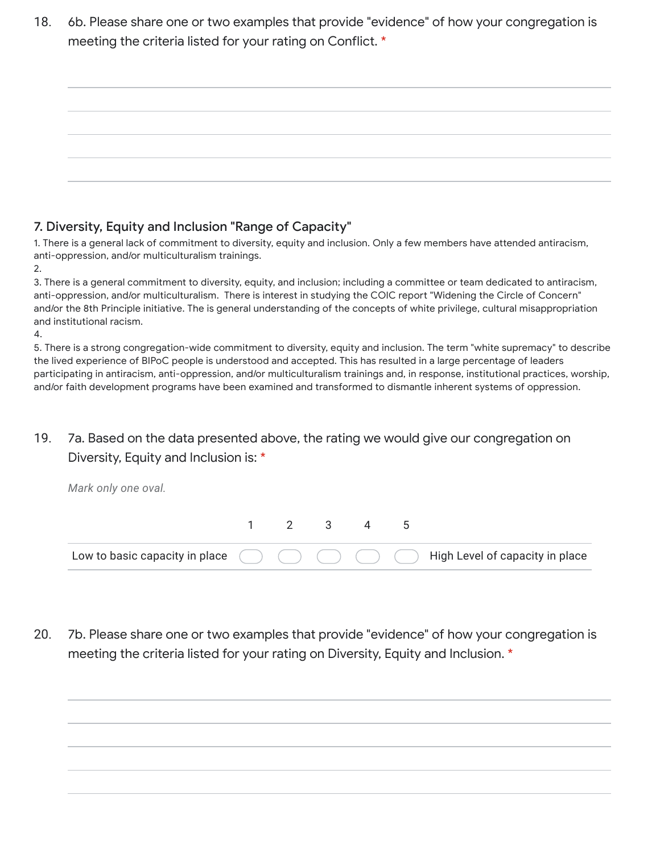18. 6b. Please share one or two examples that provide "evidence" of how your congregation is meeting the criteria listed for your rating on Conflict. \*

| the control of the control of the control of |  |
|----------------------------------------------|--|
|                                              |  |
|                                              |  |
|                                              |  |
|                                              |  |
| the control of the control of the con-       |  |
|                                              |  |
|                                              |  |
|                                              |  |
|                                              |  |
|                                              |  |
|                                              |  |
|                                              |  |
|                                              |  |
|                                              |  |
|                                              |  |
|                                              |  |
|                                              |  |
|                                              |  |
|                                              |  |

## 7. Diversity, Equity and Inclusion "Range of Capacity"

1. There is a general lack of commitment to diversity, equity and inclusion. Only a few members have attended antiracism, anti-oppression, and/or multiculturalism trainings.

2.

3. There is a general commitment to diversity, equity, and inclusion; including a committee or team dedicated to antiracism, anti-oppression, and/or multiculturalism. There is interest in studying the COIC report "Widening the Circle of Concern" and/or the 8th Principle initiative. The is general understanding of the concepts of white privilege, cultural misappropriation and institutional racism.

4.

*Mark only one oval.*

5. There is a strong congregation-wide commitment to diversity, equity and inclusion. The term "white supremacy" to describe the lived experience of BIPoC people is understood and accepted. This has resulted in a large percentage of leaders participating in antiracism, anti-oppression, and/or multiculturalism trainings and, in response, institutional practices, worship, and/or faith development programs have been examined and transformed to dismantle inherent systems of oppression.

19. 7a. Based on the data presented above, the rating we would give our congregation on Diversity, Equity and Inclusion is: \*

Low to basic capacity in place 1 2 3 4 5 High Level of capacity in place

20. 7b. Please share one or two examples that provide "evidence" of how your congregation is meeting the criteria listed for your rating on Diversity, Equity and Inclusion. \*